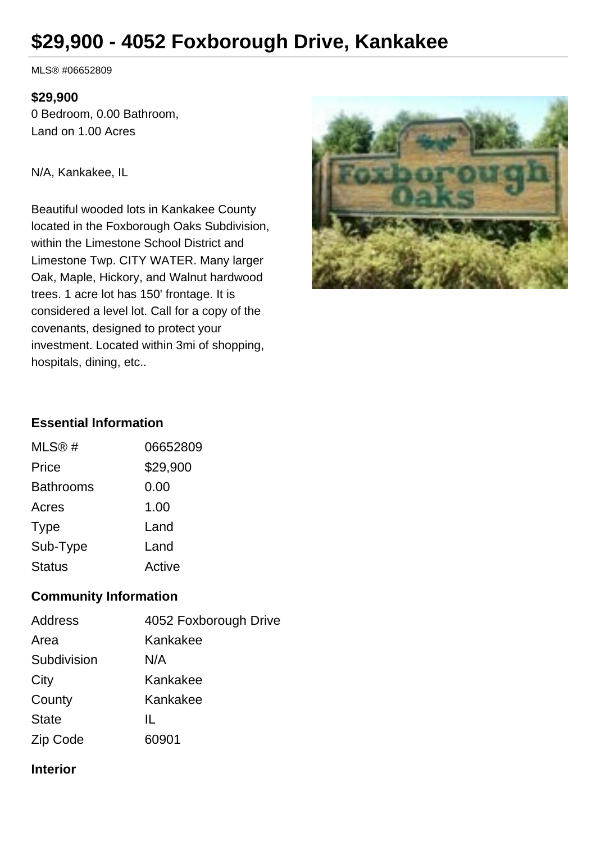# **\$29,900 - 4052 Foxborough Drive, Kankakee**

MLS® #06652809

#### **\$29,900**

0 Bedroom, 0.00 Bathroom, Land on 1.00 Acres

N/A, Kankakee, IL

Beautiful wooded lots in Kankakee County located in the Foxborough Oaks Subdivision, within the Limestone School District and Limestone Twp. CITY WATER. Many larger Oak, Maple, Hickory, and Walnut hardwood trees. 1 acre lot has 150' frontage. It is considered a level lot. Call for a copy of the covenants, designed to protect your investment. Located within 3mi of shopping, hospitals, dining, etc..



## **Essential Information**

| MLS@#            | 06652809 |
|------------------|----------|
| Price            | \$29,900 |
| <b>Bathrooms</b> | 0.00     |
| Acres            | 1.00     |
| <b>Type</b>      | Land     |
| Sub-Type         | Land     |
| <b>Status</b>    | Active   |

## **Community Information**

| <b>Address</b> | 4052 Foxborough Drive |
|----------------|-----------------------|
| Area           | Kankakee              |
| Subdivision    | N/A                   |
| City           | Kankakee              |
| County         | Kankakee              |
| <b>State</b>   | IL                    |
| Zip Code       | 60901                 |

## **Interior**